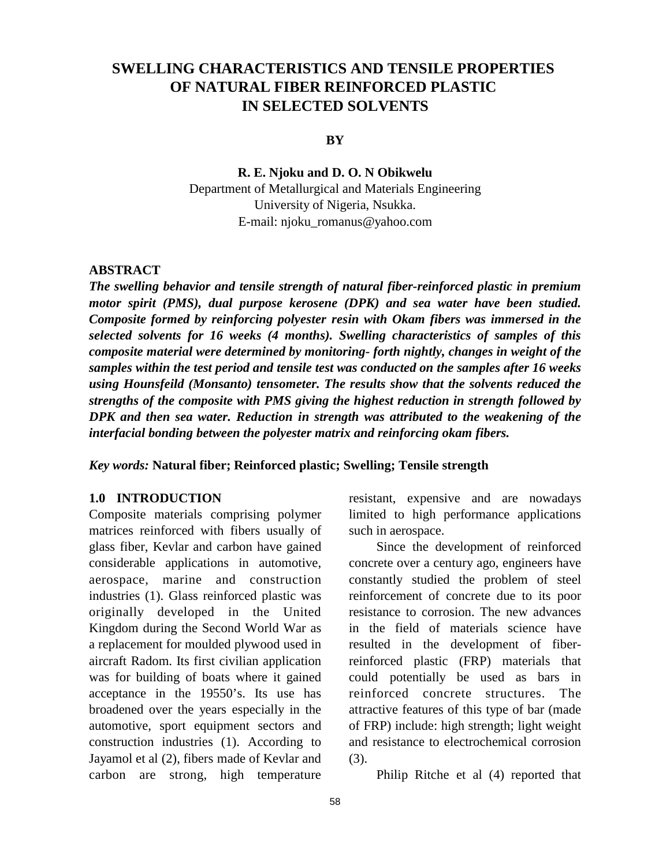## **SWELLING CHARACTERISTICS AND TENSILE PROPERTIES OF NATURAL FIBER REINFORCED PLASTIC IN SELECTED SOLVENTS**

## **BY**

**R. E. Njoku and D. O. N Obikwelu** Department of Metallurgical and Materials Engineering University of Nigeria, Nsukka. E-mail: njoku\_romanus@yahoo.com

## **ABSTRACT**

*The swelling behavior and tensile strength of natural fiber-reinforced plastic in premium motor spirit (PMS), dual purpose kerosene (DPK) and sea water have been studied. Composite formed by reinforcing polyester resin with Okam fibers was immersed in the selected solvents for 16 weeks (4 months). Swelling characteristics of samples of this composite material were determined by monitoring- forth nightly, changes in weight of the samples within the test period and tensile test was conducted on the samples after 16 weeks using Hounsfeild (Monsanto) tensometer. The results show that the solvents reduced the strengths of the composite with PMS giving the highest reduction in strength followed by DPK and then sea water. Reduction in strength was attributed to the weakening of the interfacial bonding between the polyester matrix and reinforcing okam fibers.*

*Key words:* **Natural fiber; Reinforced plastic; Swelling; Tensile strength**

## **1.0 INTRODUCTION**

Composite materials comprising polymer matrices reinforced with fibers usually of glass fiber, Kevlar and carbon have gained considerable applications in automotive, aerospace, marine and construction industries (1). Glass reinforced plastic was originally developed in the United Kingdom during the Second World War as a replacement for moulded plywood used in aircraft Radom. Its first civilian application was for building of boats where it gained acceptance in the 19550's. Its use has broadened over the years especially in the automotive, sport equipment sectors and construction industries (1). According to Jayamol et al (2), fibers made of Kevlar and carbon are strong, high temperature

resistant, expensive and are nowadays limited to high performance applications such in aerospace.

Since the development of reinforced concrete over a century ago, engineers have constantly studied the problem of steel reinforcement of concrete due to its poor resistance to corrosion. The new advances in the field of materials science have resulted in the development of fiberreinforced plastic (FRP) materials that could potentially be used as bars in reinforced concrete structures. The attractive features of this type of bar (made of FRP) include: high strength; light weight and resistance to electrochemical corrosion (3).

Philip Ritche et al (4) reported that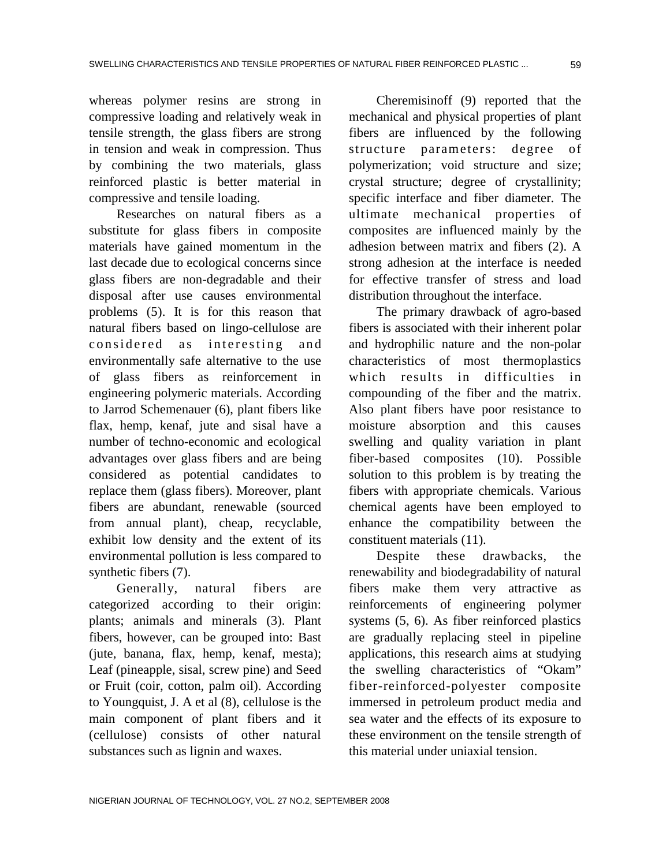whereas polymer resins are strong in compressive loading and relatively weak in tensile strength, the glass fibers are strong in tension and weak in compression. Thus by combining the two materials, glass reinforced plastic is better material in compressive and tensile loading.

Researches on natural fibers as a substitute for glass fibers in composite materials have gained momentum in the last decade due to ecological concerns since glass fibers are non-degradable and their disposal after use causes environmental problems (5). It is for this reason that natural fibers based on lingo-cellulose are considered as interesting and environmentally safe alternative to the use of glass fibers as reinforcement in engineering polymeric materials. According to Jarrod Schemenauer (6), plant fibers like flax, hemp, kenaf, jute and sisal have a number of techno-economic and ecological advantages over glass fibers and are being considered as potential candidates to replace them (glass fibers). Moreover, plant fibers are abundant, renewable (sourced from annual plant), cheap, recyclable, exhibit low density and the extent of its environmental pollution is less compared to synthetic fibers (7).

Generally, natural fibers are categorized according to their origin: plants; animals and minerals (3). Plant fibers, however, can be grouped into: Bast (jute, banana, flax, hemp, kenaf, mesta); Leaf (pineapple, sisal, screw pine) and Seed or Fruit (coir, cotton, palm oil). According to Youngquist, J. A et al (8), cellulose is the main component of plant fibers and it (cellulose) consists of other natural substances such as lignin and waxes.

Cheremisinoff (9) reported that the mechanical and physical properties of plant fibers are influenced by the following structure parameters: degree of polymerization; void structure and size; crystal structure; degree of crystallinity; specific interface and fiber diameter. The ultimate mechanical properties of composites are influenced mainly by the adhesion between matrix and fibers (2). A strong adhesion at the interface is needed for effective transfer of stress and load distribution throughout the interface.

The primary drawback of agro-based fibers is associated with their inherent polar and hydrophilic nature and the non-polar characteristics of most thermoplastics which results in difficulties in compounding of the fiber and the matrix. Also plant fibers have poor resistance to moisture absorption and this causes swelling and quality variation in plant fiber-based composites (10). Possible solution to this problem is by treating the fibers with appropriate chemicals. Various chemical agents have been employed to enhance the compatibility between the constituent materials (11).

Despite these drawbacks, the renewability and biodegradability of natural fibers make them very attractive as reinforcements of engineering polymer systems (5, 6). As fiber reinforced plastics are gradually replacing steel in pipeline applications, this research aims at studying the swelling characteristics of "Okam" fiber-reinforced-polyester composite immersed in petroleum product media and sea water and the effects of its exposure to these environment on the tensile strength of this material under uniaxial tension.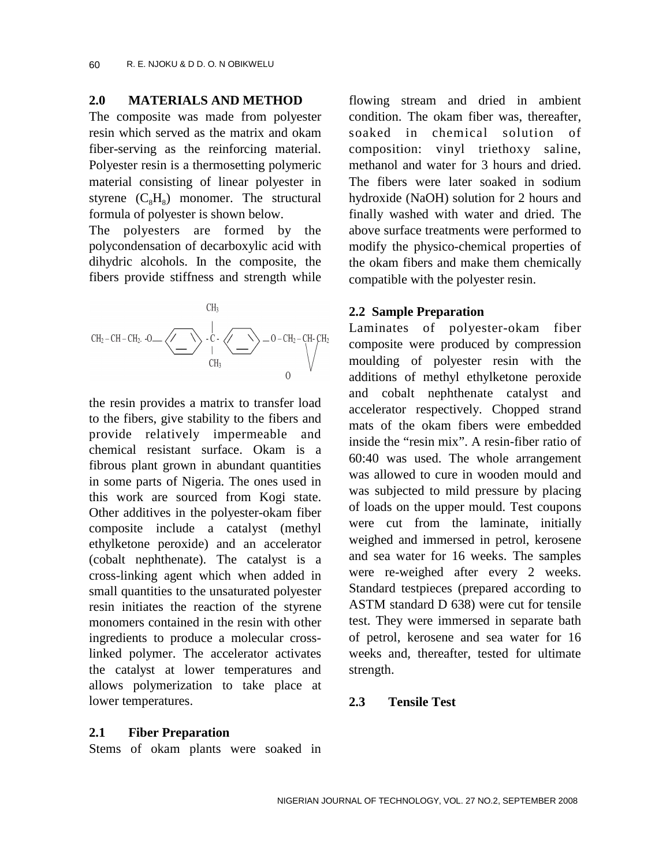#### **2.0 MATERIALS AND METHOD**

The composite was made from polyester resin which served as the matrix and okam fiber-serving as the reinforcing material. Polyester resin is a thermosetting polymeric material consisting of linear polyester in styrene  $(C_8H_8)$  monomer. The structural formula of polyester is shown below.

The polyesters are formed by the polycondensation of decarboxylic acid with dihydric alcohols. In the composite, the fibers provide stiffness and strength while



the resin provides a matrix to transfer load to the fibers, give stability to the fibers and provide relatively impermeable and chemical resistant surface. Okam is a fibrous plant grown in abundant quantities in some parts of Nigeria. The ones used in this work are sourced from Kogi state. Other additives in the polyester-okam fiber composite include a catalyst (methyl ethylketone peroxide) and an accelerator (cobalt nephthenate). The catalyst is a cross-linking agent which when added in small quantities to the unsaturated polyester resin initiates the reaction of the styrene monomers contained in the resin with other ingredients to produce a molecular crosslinked polymer. The accelerator activates the catalyst at lower temperatures and allows polymerization to take place at lower temperatures.

flowing stream and dried in ambient condition. The okam fiber was, thereafter, soaked in chemical solution of composition: vinyl triethoxy saline, methanol and water for 3 hours and dried. The fibers were later soaked in sodium hydroxide (NaOH) solution for 2 hours and finally washed with water and dried. The above surface treatments were performed to modify the physico-chemical properties of the okam fibers and make them chemically compatible with the polyester resin.

#### **2.2 Sample Preparation**

Laminates of polyester-okam fiber composite were produced by compression moulding of polyester resin with the additions of methyl ethylketone peroxide and cobalt nephthenate catalyst and accelerator respectively. Chopped strand mats of the okam fibers were embedded inside the "resin mix". A resin-fiber ratio of 60:40 was used. The whole arrangement was allowed to cure in wooden mould and was subjected to mild pressure by placing of loads on the upper mould. Test coupons were cut from the laminate, initially weighed and immersed in petrol, kerosene and sea water for 16 weeks. The samples were re-weighed after every 2 weeks. Standard testpieces (prepared according to ASTM standard D 638) were cut for tensile test. They were immersed in separate bath of petrol, kerosene and sea water for 16 weeks and, thereafter, tested for ultimate strength.

#### **2.3 Tensile Test**

#### **2.1 Fiber Preparation**

Stems of okam plants were soaked in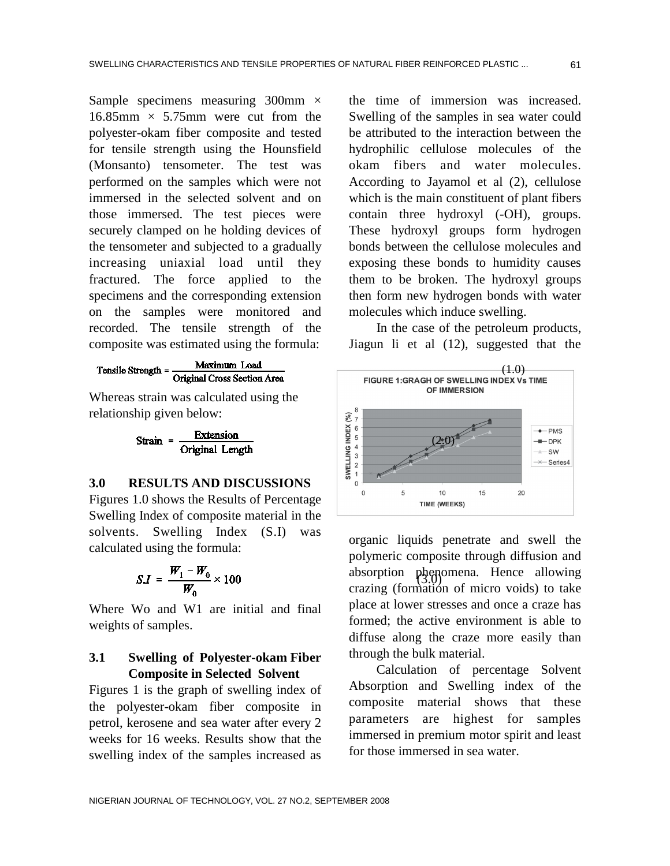Sample specimens measuring 300mm  $\times$  $16.85$ mm  $\times$  5.75mm were cut from the polyester-okam fiber composite and tested for tensile strength using the Hounsfield (Monsanto) tensometer. The test was performed on the samples which were not immersed in the selected solvent and on those immersed. The test pieces were securely clamped on he holding devices of the tensometer and subjected to a gradually increasing uniaxial load until they fractured. The force applied to the specimens and the corresponding extension on the samples were monitored and recorded. The tensile strength of the composite was estimated using the formula:

Maximum Load Tensile Strength = Original Cross Section Area

Whereas strain was calculated using the relationship given below:

> **Extension** Strain  $=$ Original Length

## **3.0 RESULTS AND DISCUSSIONS**

Figures 1.0 shows the Results of Percentage Swelling Index of composite material in the solvents. Swelling Index (S.I) was calculated using the formula:

$$
SJ = \frac{W_1 - W_0}{W_0} \times 100
$$

Where Wo and W1 are initial and final weights of samples.

## **3.1 Swelling of Polyester-okam Fiber Composite in Selected Solvent**

Figures 1 is the graph of swelling index of the polyester-okam fiber composite in petrol, kerosene and sea water after every 2 weeks for 16 weeks. Results show that the swelling index of the samples increased as

the time of immersion was increased. Swelling of the samples in sea water could be attributed to the interaction between the hydrophilic cellulose molecules of the okam fibers and water molecules. According to Jayamol et al (2), cellulose which is the main constituent of plant fibers contain three hydroxyl (-OH), groups. These hydroxyl groups form hydrogen bonds between the cellulose molecules and exposing these bonds to humidity causes them to be broken. The hydroxyl groups then form new hydrogen bonds with water molecules which induce swelling.

In the case of the petroleum products, Jiagun li et al (12), suggested that the



(3.0) absorption phenomena. Hence allowing organic liquids penetrate and swell the polymeric composite through diffusion and crazing (formation of micro voids) to take place at lower stresses and once a craze has formed; the active environment is able to diffuse along the craze more easily than through the bulk material.

Calculation of percentage Solvent Absorption and Swelling index of the composite material shows that these parameters are highest for samples immersed in premium motor spirit and least for those immersed in sea water.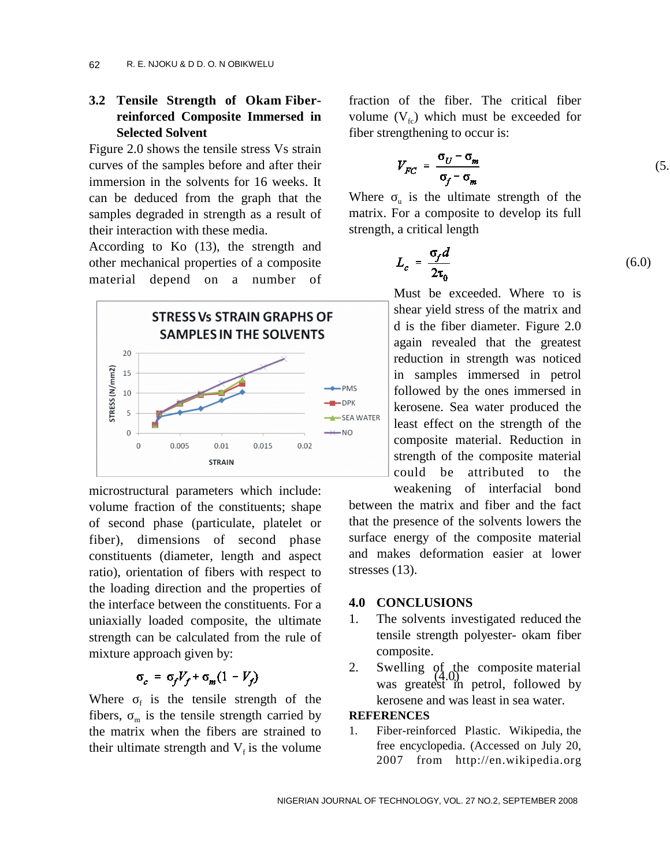## **3.2 Tensile Strength of Okam Fiberreinforced Composite Immersed in Selected Solvent**

Figure 2.0 shows the tensile stress Vs strain curves of the samples before and after their immersion in the solvents for 16 weeks. It can be deduced from the graph that the samples degraded in strength as a result of their interaction with these media.

According to Ko (13), the strength and other mechanical properties of a composite material depend on a number of



microstructural parameters which include: volume fraction of the constituents; shape of second phase (particulate, platelet or fiber), dimensions of second phase constituents (diameter, length and aspect ratio), orientation of fibers with respect to the loading direction and the properties of the interface between the constituents. For a uniaxially loaded composite, the ultimate strength can be calculated from the rule of mixture approach given by:

# $\sigma_c = \sigma_f V_f + \sigma_m (1 - V_f)$

Where  $f$  is the tensile strength of the fibers,  $\mathbf{m}$  is the tensile strength carried by the matrix when the fibers are strained to their ultimate strength and  $V_f$  is the volume fraction of the fiber. The critical fiber volume  $(V_{\rm fc})$  which must be exceeded for fiber strengthening to occur is:

$$
V_{FC} = \frac{\sigma_U - \sigma_m}{\sigma_f - \sigma_m} \tag{5}
$$

Where  $\mathbf{u}$  is the ultimate strength of the matrix. For a composite to develop its full strength, a critical length

$$
L_c = \frac{\sigma_f d}{2\tau_0} \tag{6.0}
$$

Must be exceeded. Where o is shear yield stress of the matrix and d is the fiber diameter. Figure 2.0 again revealed that the greatest reduction in strength was noticed in samples immersed in petrol followed by the ones immersed in kerosene. Sea water produced the least effect on the strength of the composite material. Reduction in strength of the composite material could be attributed to the weakening of interfacial bond

between the matrix and fiber and the fact that the presence of the solvents lowers the surface energy of the composite material and makes deformation easier at lower stresses (13).

## **4.0 CONCLUSIONS**

- 1. The solvents investigated reduced the tensile strength polyester- okam fiber composite.
- we greatest in petrol, followed by 2. Swelling of the composite material kerosene and was least in sea water.

### **REFERENCES**

1. Fiber-reinforced Plastic. Wikipedia, the free encyclopedia. (Accessed on July 20, 2007 from http://en.wikipedia.org